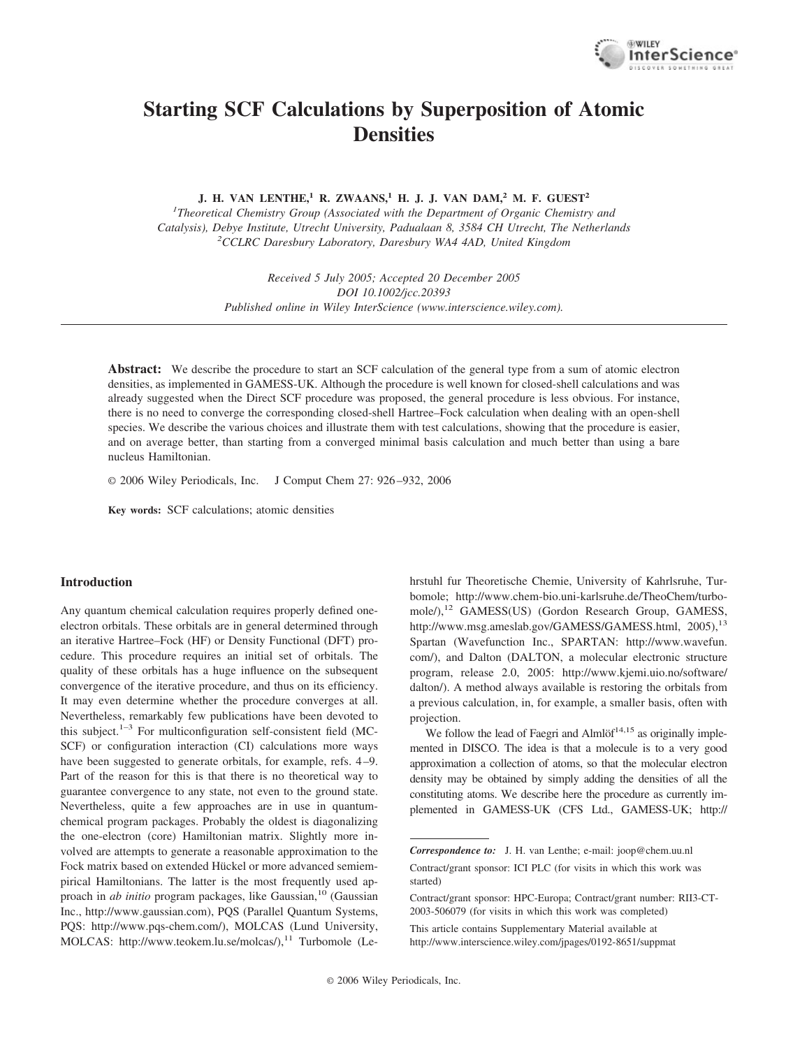

# **Starting SCF Calculations by Superposition of Atomic Densities**

**J. H. VAN LENTHE,1 R. ZWAANS,1 H. J. J. VAN DAM,2 M. F. GUEST2**

*1 Theoretical Chemistry Group (Associated with the Department of Organic Chemistry and Catalysis), Debye Institute, Utrecht University, Padualaan 8, 3584 CH Utrecht, The Netherlands <sup>2</sup> CCLRC Daresbury Laboratory, Daresbury WA4 4AD, United Kingdom*

> *Received 5 July 2005; Accepted 20 December 2005 DOI 10.1002/jcc.20393 Published online in Wiley InterScience (www.interscience.wiley.com).*

**Abstract:** We describe the procedure to start an SCF calculation of the general type from a sum of atomic electron densities, as implemented in GAMESS-UK. Although the procedure is well known for closed-shell calculations and was already suggested when the Direct SCF procedure was proposed, the general procedure is less obvious. For instance, there is no need to converge the corresponding closed-shell Hartree–Fock calculation when dealing with an open-shell species. We describe the various choices and illustrate them with test calculations, showing that the procedure is easier, and on average better, than starting from a converged minimal basis calculation and much better than using a bare nucleus Hamiltonian.

© 2006 Wiley Periodicals, Inc. J Comput Chem 27: 926 –932, 2006

**Key words:** SCF calculations; atomic densities

## **Introduction**

Any quantum chemical calculation requires properly defined oneelectron orbitals. These orbitals are in general determined through an iterative Hartree–Fock (HF) or Density Functional (DFT) procedure. This procedure requires an initial set of orbitals. The quality of these orbitals has a huge influence on the subsequent convergence of the iterative procedure, and thus on its efficiency. It may even determine whether the procedure converges at all. Nevertheless, remarkably few publications have been devoted to this subject. $1-3$  For multiconfiguration self-consistent field (MC-SCF) or configuration interaction (CI) calculations more ways have been suggested to generate orbitals, for example, refs. 4–9. Part of the reason for this is that there is no theoretical way to guarantee convergence to any state, not even to the ground state. Nevertheless, quite a few approaches are in use in quantumchemical program packages. Probably the oldest is diagonalizing the one-electron (core) Hamiltonian matrix. Slightly more involved are attempts to generate a reasonable approximation to the Fock matrix based on extended Hückel or more advanced semiempirical Hamiltonians. The latter is the most frequently used approach in *ab initio* program packages, like Gaussian,<sup>10</sup> (Gaussian Inc., http://www.gaussian.com), PQS (Parallel Quantum Systems, PQS: http://www.pqs-chem.com/), MOLCAS (Lund University, MOLCAS: http://www.teokem.lu.se/molcas/),<sup>11</sup> Turbomole (Lehrstuhl fur Theoretische Chemie, University of Kahrlsruhe, Turbomole; http://www.chem-bio.uni-karlsruhe.de/TheoChem/turbomole/),<sup>12</sup> GAMESS(US) (Gordon Research Group, GAMESS, http://www.msg.ameslab.gov/GAMESS/GAMESS.html, 2005),<sup>13</sup> Spartan (Wavefunction Inc., SPARTAN: http://www.wavefun. com/), and Dalton (DALTON, a molecular electronic structure program, release 2.0, 2005: http://www.kjemi.uio.no/software/ dalton/). A method always available is restoring the orbitals from a previous calculation, in, for example, a smaller basis, often with projection.

We follow the lead of Faegri and Almlo $f<sup>14,15</sup>$  as originally implemented in DISCO. The idea is that a molecule is to a very good approximation a collection of atoms, so that the molecular electron density may be obtained by simply adding the densities of all the constituting atoms. We describe here the procedure as currently implemented in GAMESS-UK (CFS Ltd., GAMESS-UK; http://

This article contains Supplementary Material available at http://www.interscience.wiley.com/jpages/0192-8651/suppmat

*Correspondence to:* J. H. van Lenthe; e-mail: joop@chem.uu.nl Contract/grant sponsor: ICI PLC (for visits in which this work was started)

Contract/grant sponsor: HPC-Europa; Contract/grant number: RII3-CT-2003-506079 (for visits in which this work was completed)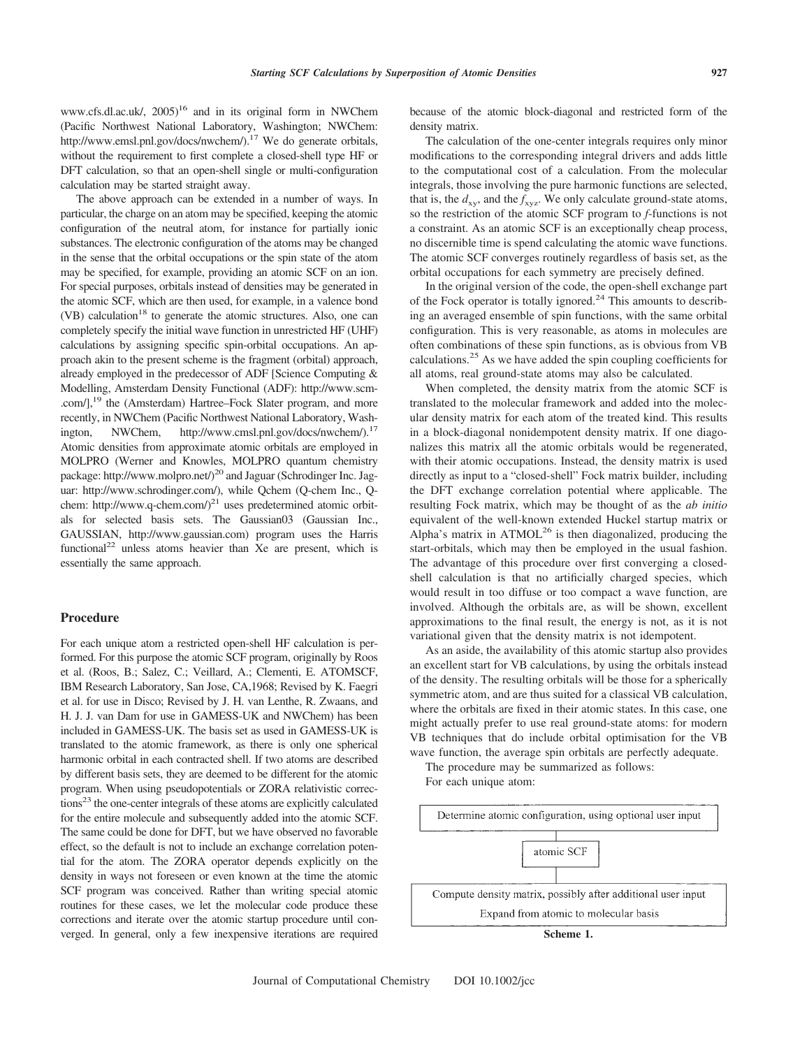www.cfs.dl.ac.uk/, 2005)<sup>16</sup> and in its original form in NWChem (Pacific Northwest National Laboratory, Washington; NWChem: http://www.emsl.pnl.gov/docs/nwchem/).<sup>17</sup> We do generate orbitals, without the requirement to first complete a closed-shell type HF or DFT calculation, so that an open-shell single or multi-configuration calculation may be started straight away.

The above approach can be extended in a number of ways. In particular, the charge on an atom may be specified, keeping the atomic configuration of the neutral atom, for instance for partially ionic substances. The electronic configuration of the atoms may be changed in the sense that the orbital occupations or the spin state of the atom may be specified, for example, providing an atomic SCF on an ion. For special purposes, orbitals instead of densities may be generated in the atomic SCF, which are then used, for example, in a valence bond  $(VB)$  calculation<sup>18</sup> to generate the atomic structures. Also, one can completely specify the initial wave function in unrestricted HF (UHF) calculations by assigning specific spin-orbital occupations. An approach akin to the present scheme is the fragment (orbital) approach, already employed in the predecessor of ADF [Science Computing & Modelling, Amsterdam Density Functional (ADF): http://www.scm- .com/],19 the (Amsterdam) Hartree–Fock Slater program, and more recently, in NWChem (Pacific Northwest National Laboratory, Washington, NWChem, http://www.cmsl.pnl.gov/docs/nwchem/).<sup>17</sup> Atomic densities from approximate atomic orbitals are employed in MOLPRO (Werner and Knowles, MOLPRO quantum chemistry package: http://www.molpro.net/)<sup>20</sup> and Jaguar (Schrodinger Inc. Jaguar: http://www.schrodinger.com/), while Qchem (Q-chem Inc., Qchem: http://www.q-chem.com/ $)^{21}$  uses predetermined atomic orbitals for selected basis sets. The Gaussian03 (Gaussian Inc., GAUSSIAN, http://www.gaussian.com) program uses the Harris functional<sup>22</sup> unless atoms heavier than Xe are present, which is essentially the same approach.

## **Procedure**

For each unique atom a restricted open-shell HF calculation is performed. For this purpose the atomic SCF program, originally by Roos et al. (Roos, B.; Salez, C.; Veillard, A.; Clementi, E. ATOMSCF, IBM Research Laboratory, San Jose, CA,1968; Revised by K. Faegri et al. for use in Disco; Revised by J. H. van Lenthe, R. Zwaans, and H. J. J. van Dam for use in GAMESS-UK and NWChem) has been included in GAMESS-UK. The basis set as used in GAMESS-UK is translated to the atomic framework, as there is only one spherical harmonic orbital in each contracted shell. If two atoms are described by different basis sets, they are deemed to be different for the atomic program. When using pseudopotentials or ZORA relativistic correc $t$ tions<sup>23</sup> the one-center integrals of these atoms are explicitly calculated for the entire molecule and subsequently added into the atomic SCF. The same could be done for DFT, but we have observed no favorable effect, so the default is not to include an exchange correlation potential for the atom. The ZORA operator depends explicitly on the density in ways not foreseen or even known at the time the atomic SCF program was conceived. Rather than writing special atomic routines for these cases, we let the molecular code produce these corrections and iterate over the atomic startup procedure until converged. In general, only a few inexpensive iterations are required because of the atomic block-diagonal and restricted form of the density matrix.

The calculation of the one-center integrals requires only minor modifications to the corresponding integral drivers and adds little to the computational cost of a calculation. From the molecular integrals, those involving the pure harmonic functions are selected, that is, the  $d_{xy}$ , and the  $f_{xyz}$ . We only calculate ground-state atoms, so the restriction of the atomic SCF program to *f*-functions is not a constraint. As an atomic SCF is an exceptionally cheap process, no discernible time is spend calculating the atomic wave functions. The atomic SCF converges routinely regardless of basis set, as the orbital occupations for each symmetry are precisely defined.

In the original version of the code, the open-shell exchange part of the Fock operator is totally ignored.<sup>24</sup> This amounts to describing an averaged ensemble of spin functions, with the same orbital configuration. This is very reasonable, as atoms in molecules are often combinations of these spin functions, as is obvious from VB calculations.25 As we have added the spin coupling coefficients for all atoms, real ground-state atoms may also be calculated.

When completed, the density matrix from the atomic SCF is translated to the molecular framework and added into the molecular density matrix for each atom of the treated kind. This results in a block-diagonal nonidempotent density matrix. If one diagonalizes this matrix all the atomic orbitals would be regenerated, with their atomic occupations. Instead, the density matrix is used directly as input to a "closed-shell" Fock matrix builder, including the DFT exchange correlation potential where applicable. The resulting Fock matrix, which may be thought of as the *ab initio* equivalent of the well-known extended Huckel startup matrix or Alpha's matrix in  $ATMOL<sup>26</sup>$  is then diagonalized, producing the start-orbitals, which may then be employed in the usual fashion. The advantage of this procedure over first converging a closedshell calculation is that no artificially charged species, which would result in too diffuse or too compact a wave function, are involved. Although the orbitals are, as will be shown, excellent approximations to the final result, the energy is not, as it is not variational given that the density matrix is not idempotent.

As an aside, the availability of this atomic startup also provides an excellent start for VB calculations, by using the orbitals instead of the density. The resulting orbitals will be those for a spherically symmetric atom, and are thus suited for a classical VB calculation, where the orbitals are fixed in their atomic states. In this case, one might actually prefer to use real ground-state atoms: for modern VB techniques that do include orbital optimisation for the VB wave function, the average spin orbitals are perfectly adequate.

The procedure may be summarized as follows: For each unique atom:



**Scheme 1.**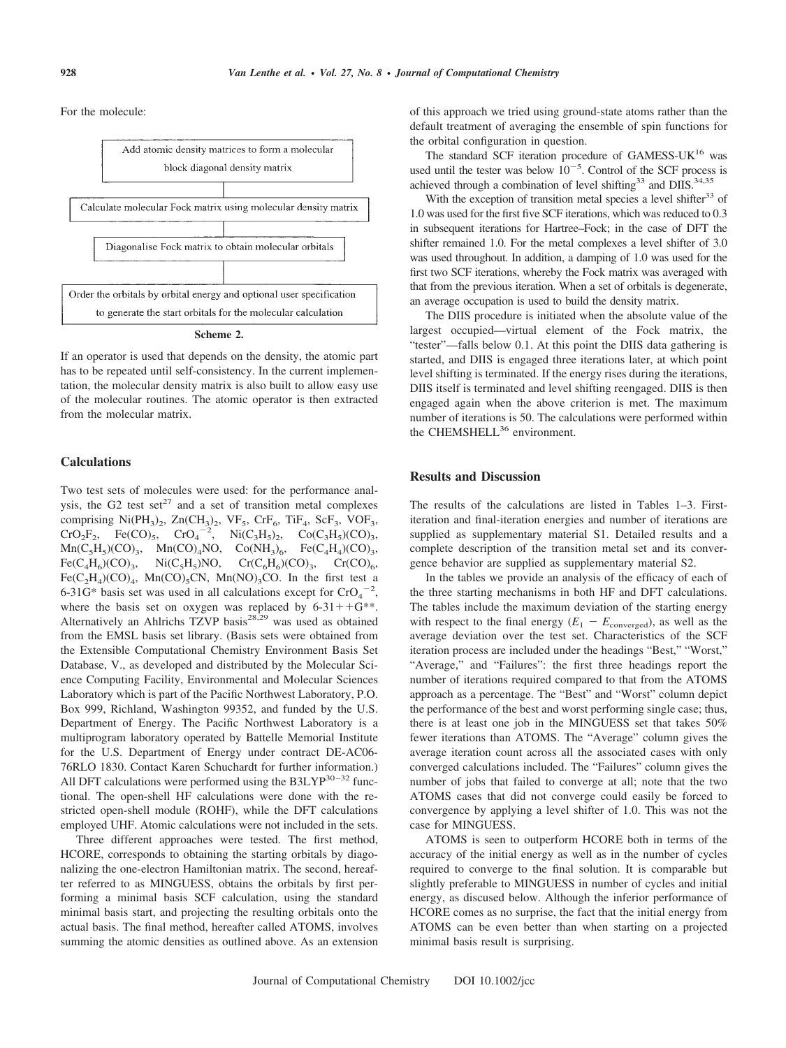For the molecule:



If an operator is used that depends on the density, the atomic part has to be repeated until self-consistency. In the current implementation, the molecular density matrix is also built to allow easy use of the molecular routines. The atomic operator is then extracted from the molecular matrix.

# **Calculations**

Two test sets of molecules were used: for the performance analysis, the G2 test set $27$  and a set of transition metal complexes comprising Ni $(PH_3)_2$ , Zn $(CH_3)_2$ , VF<sub>5</sub>, CrF<sub>6</sub>, TiF<sub>4</sub>, ScF<sub>3</sub>, VOF<sub>3</sub>,  $CrO_2F_2$ , Fe(CO)<sub>5</sub>, CrO<sub>4</sub><sup>-2</sup>, Ni(C<sub>3</sub>H<sub>5</sub>)<sub>2</sub>, Co(C<sub>3</sub>H<sub>5</sub>)(CO)<sub>3</sub>,  $\text{Mn}(C_5H_5)(CO)_3, \quad \text{Mn}(CO)_4NO, \quad Co(NH_3)_6, \quad Fe(C_4H_4)(CO)_3, \text{Fe(C}_4H_6)(CO)_3, \quad \text{Ni}(C_5H_5)NO, \quad Cr(C_6H_6)(CO)_3, \quad Cr(C)_6,$  $Fe(C_4H_6)(CO)_3$ , Ni $(C_5H_5)NO$  $Fe(C_2H_4)(CO)_4$ , Mn(CO)<sub>5</sub>CN, Mn(NO)<sub>3</sub>CO. In the first test a 6-31G\* basis set was used in all calculations except for  $Cro_4^{-2}$ , where the basis set on oxygen was replaced by  $6-31++G^{**}$ . Alternatively an Ahlrichs TZVP basis<sup>28,29</sup> was used as obtained from the EMSL basis set library. (Basis sets were obtained from the Extensible Computational Chemistry Environment Basis Set Database, V., as developed and distributed by the Molecular Science Computing Facility, Environmental and Molecular Sciences Laboratory which is part of the Pacific Northwest Laboratory, P.O. Box 999, Richland, Washington 99352, and funded by the U.S. Department of Energy. The Pacific Northwest Laboratory is a multiprogram laboratory operated by Battelle Memorial Institute for the U.S. Department of Energy under contract DE-AC06- 76RLO 1830. Contact Karen Schuchardt for further information.) All DFT calculations were performed using the  $B3LYP^{30-32}$  functional. The open-shell HF calculations were done with the restricted open-shell module (ROHF), while the DFT calculations employed UHF. Atomic calculations were not included in the sets.

Three different approaches were tested. The first method, HCORE, corresponds to obtaining the starting orbitals by diagonalizing the one-electron Hamiltonian matrix. The second, hereafter referred to as MINGUESS, obtains the orbitals by first performing a minimal basis SCF calculation, using the standard minimal basis start, and projecting the resulting orbitals onto the actual basis. The final method, hereafter called ATOMS, involves summing the atomic densities as outlined above. As an extension of this approach we tried using ground-state atoms rather than the default treatment of averaging the ensemble of spin functions for the orbital configuration in question.

The standard SCF iteration procedure of GAMESS-UK $16$  was used until the tester was below  $10^{-5}$ . Control of the SCF process is achieved through a combination of level shifting<sup>33</sup> and DIIS.<sup>34,35</sup>

With the exception of transition metal species a level shifter<sup>33</sup> of 1.0 was used for the first five SCF iterations, which was reduced to 0.3 in subsequent iterations for Hartree–Fock; in the case of DFT the shifter remained 1.0. For the metal complexes a level shifter of 3.0 was used throughout. In addition, a damping of 1.0 was used for the first two SCF iterations, whereby the Fock matrix was averaged with that from the previous iteration. When a set of orbitals is degenerate, an average occupation is used to build the density matrix.

The DIIS procedure is initiated when the absolute value of the largest occupied—virtual element of the Fock matrix, the "tester"—falls below 0.1. At this point the DIIS data gathering is started, and DIIS is engaged three iterations later, at which point level shifting is terminated. If the energy rises during the iterations, DIIS itself is terminated and level shifting reengaged. DIIS is then engaged again when the above criterion is met. The maximum number of iterations is 50. The calculations were performed within the CHEMSHELL<sup>36</sup> environment.

## **Results and Discussion**

The results of the calculations are listed in Tables 1–3. Firstiteration and final-iteration energies and number of iterations are supplied as supplementary material S1. Detailed results and a complete description of the transition metal set and its convergence behavior are supplied as supplementary material S2.

In the tables we provide an analysis of the efficacy of each of the three starting mechanisms in both HF and DFT calculations. The tables include the maximum deviation of the starting energy with respect to the final energy  $(E_1 - E_{\text{converged}})$ , as well as the average deviation over the test set. Characteristics of the SCF iteration process are included under the headings "Best," "Worst," "Average," and "Failures": the first three headings report the number of iterations required compared to that from the ATOMS approach as a percentage. The "Best" and "Worst" column depict the performance of the best and worst performing single case; thus, there is at least one job in the MINGUESS set that takes 50% fewer iterations than ATOMS. The "Average" column gives the average iteration count across all the associated cases with only converged calculations included. The "Failures" column gives the number of jobs that failed to converge at all; note that the two ATOMS cases that did not converge could easily be forced to convergence by applying a level shifter of 1.0. This was not the case for MINGUESS.

ATOMS is seen to outperform HCORE both in terms of the accuracy of the initial energy as well as in the number of cycles required to converge to the final solution. It is comparable but slightly preferable to MINGUESS in number of cycles and initial energy, as discused below. Although the inferior performance of HCORE comes as no surprise, the fact that the initial energy from ATOMS can be even better than when starting on a projected minimal basis result is surprising.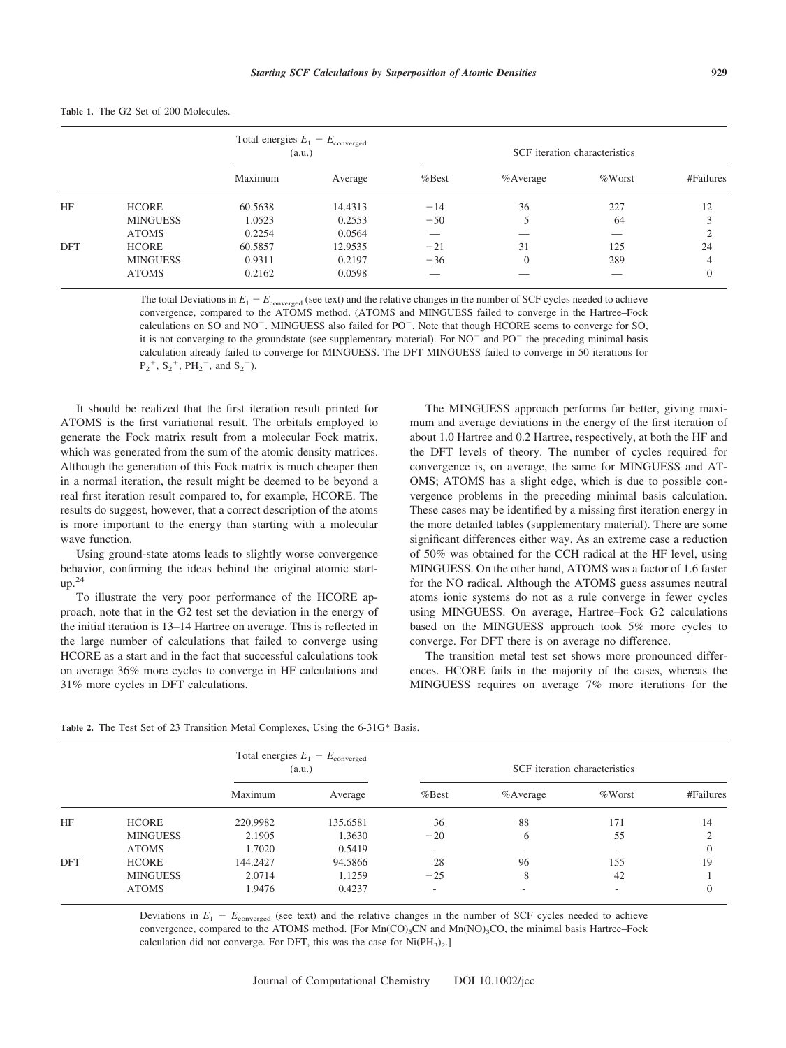|     |                 | Total energies $E_1 - E_{\text{converged}}$<br>(a.u.) |         | SCF iteration characteristics |             |            |           |
|-----|-----------------|-------------------------------------------------------|---------|-------------------------------|-------------|------------|-----------|
|     |                 | Maximum                                               | Average | %Best                         | $%$ Average | $\%$ Worst | #Failures |
| HF  | <b>HCORE</b>    | 60.5638                                               | 14.4313 | $-14$                         | 36          | 227        | 12        |
|     | <b>MINGUESS</b> | 1.0523                                                | 0.2553  | $-50$                         |             | 64         |           |
|     | <b>ATOMS</b>    | 0.2254                                                | 0.0564  |                               |             |            |           |
| DFT | <b>HCORE</b>    | 60.5857                                               | 12.9535 | $-21$                         | 31          | 125        | 24        |
|     | <b>MINGUESS</b> | 0.9311                                                | 0.2197  | $-36$                         | $\Omega$    | 289        | 4         |
|     | <b>ATOMS</b>    | 0.2162                                                | 0.0598  |                               |             |            |           |

#### **Table 1.** The G2 Set of 200 Molecules.

The total Deviations in  $E_1 - E_{\text{converged}}$  (see text) and the relative changes in the number of SCF cycles needed to achieve convergence, compared to the ATOMS method. (ATOMS and MINGUESS failed to converge in the Hartree–Fock calculations on SO and NO<sup>-</sup>. MINGUESS also failed for PO<sup>-</sup>. Note that though HCORE seems to converge for SO, it is not converging to the groundstate (see supplementary material). For  $NO^-$  and  $PO^-$  the preceding minimal basis calculation already failed to converge for MINGUESS. The DFT MINGUESS failed to converge in 50 iterations for  $P_2^+$ ,  $S_2^+$ ,  $PH_2^-$ , and  $S_2^-$ ).

It should be realized that the first iteration result printed for ATOMS is the first variational result. The orbitals employed to generate the Fock matrix result from a molecular Fock matrix, which was generated from the sum of the atomic density matrices. Although the generation of this Fock matrix is much cheaper then in a normal iteration, the result might be deemed to be beyond a real first iteration result compared to, for example, HCORE. The results do suggest, however, that a correct description of the atoms is more important to the energy than starting with a molecular wave function.

Using ground-state atoms leads to slightly worse convergence behavior, confirming the ideas behind the original atomic start $up.^{24}$ 

To illustrate the very poor performance of the HCORE approach, note that in the G2 test set the deviation in the energy of the initial iteration is 13–14 Hartree on average. This is reflected in the large number of calculations that failed to converge using HCORE as a start and in the fact that successful calculations took on average 36% more cycles to converge in HF calculations and 31% more cycles in DFT calculations.

The MINGUESS approach performs far better, giving maximum and average deviations in the energy of the first iteration of about 1.0 Hartree and 0.2 Hartree, respectively, at both the HF and the DFT levels of theory. The number of cycles required for convergence is, on average, the same for MINGUESS and AT-OMS; ATOMS has a slight edge, which is due to possible convergence problems in the preceding minimal basis calculation. These cases may be identified by a missing first iteration energy in the more detailed tables (supplementary material). There are some significant differences either way. As an extreme case a reduction of 50% was obtained for the CCH radical at the HF level, using MINGUESS. On the other hand, ATOMS was a factor of 1.6 faster for the NO radical. Although the ATOMS guess assumes neutral atoms ionic systems do not as a rule converge in fewer cycles using MINGUESS. On average, Hartree–Fock G2 calculations based on the MINGUESS approach took 5% more cycles to converge. For DFT there is on average no difference.

The transition metal test set shows more pronounced differences. HCORE fails in the majority of the cases, whereas the MINGUESS requires on average 7% more iterations for the

| Table 2. The Test Set of 23 Transition Metal Complexes, Using the 6-31G* Basis. |  |
|---------------------------------------------------------------------------------|--|
|---------------------------------------------------------------------------------|--|

|           |                 | Total energies $E_1 - E_{\text{converged}}$<br>(a.u.) |          | SCF iteration characteristics |                          |                          |           |
|-----------|-----------------|-------------------------------------------------------|----------|-------------------------------|--------------------------|--------------------------|-----------|
|           |                 | Maximum                                               | Average  | %Best                         | $%$ Average              | %Worst                   | #Failures |
| <b>HF</b> | <b>HCORE</b>    | 220.9982                                              | 135.6581 | 36                            | 88                       | 171                      | 14        |
|           | <b>MINGUESS</b> | 2.1905                                                | 1.3630   | $-20$                         | 6                        | 55                       |           |
|           | <b>ATOMS</b>    | 1.7020                                                | 0.5419   | -                             | $\overline{\phantom{a}}$ | $\overline{\phantom{a}}$ |           |
| DFT       | <b>HCORE</b>    | 144.2427                                              | 94.5866  | 28                            | 96                       | 155                      | 19        |
|           | <b>MINGUESS</b> | 2.0714                                                | 1.1259   | $-25$                         | 8                        | 42                       |           |
|           | <b>ATOMS</b>    | 1.9476                                                | 0.4237   |                               |                          | $\overline{\phantom{a}}$ |           |

Deviations in  $E_1 - E_{\text{converged}}$  (see text) and the relative changes in the number of SCF cycles needed to achieve convergence, compared to the ATOMS method. [For  $Mn(CO)_{5}CN$  and  $Mn(NO)_{3}CO$ , the minimal basis Hartree–Fock calculation did not converge. For DFT, this was the case for  $Ni(PH<sub>3</sub>)<sub>2</sub>$ .]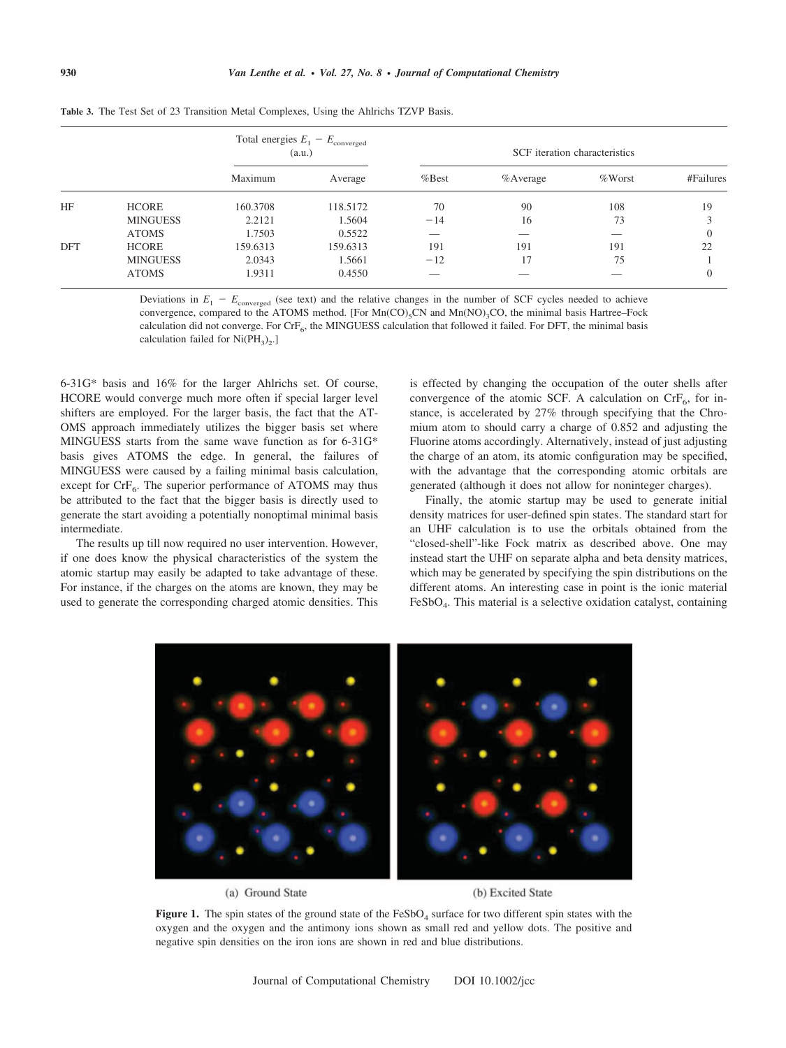|            |                 | Total energies $E_1 - E_{\text{converged}}$<br>(a.u.) |          | SCF iteration characteristics |             |           |           |
|------------|-----------------|-------------------------------------------------------|----------|-------------------------------|-------------|-----------|-----------|
|            |                 | Maximum                                               | Average  | %Best                         | $%$ Average | $%W$ orst | #Failures |
| HF         | <b>HCORE</b>    | 160.3708                                              | 118.5172 | 70                            | 90          | 108       | 19        |
|            | <b>MINGUESS</b> | 2.2121                                                | 1.5604   | $-14$                         | 16          | 73        | 3         |
|            | <b>ATOMS</b>    | 1.7503                                                | 0.5522   |                               |             |           | $\Omega$  |
| <b>DFT</b> | <b>HCORE</b>    | 159.6313                                              | 159.6313 | 191                           | 191         | 191       | 22        |
|            | <b>MINGUESS</b> | 2.0343                                                | 1.5661   | $-12$                         | 17          | 75        |           |
|            | <b>ATOMS</b>    | 1.9311                                                | 0.4550   |                               |             |           | $\Omega$  |

**Table 3.** The Test Set of 23 Transition Metal Complexes, Using the Ahlrichs TZVP Basis.

Deviations in  $E_1 - E_{\text{converged}}$  (see text) and the relative changes in the number of SCF cycles needed to achieve convergence, compared to the ATOMS method. [For Mn(CO)<sub>5</sub>CN and Mn(NO)<sub>3</sub>CO, the minimal basis Hartree–Fock calculation did not converge. For  $\text{CrF}_6$ , the MINGUESS calculation that followed it failed. For DFT, the minimal basis calculation failed for  $Ni(PH<sub>3</sub>)<sub>2</sub>$ .]

6-31G\* basis and 16% for the larger Ahlrichs set. Of course, HCORE would converge much more often if special larger level shifters are employed. For the larger basis, the fact that the AT-OMS approach immediately utilizes the bigger basis set where MINGUESS starts from the same wave function as for 6-31G\* basis gives ATOMS the edge. In general, the failures of MINGUESS were caused by a failing minimal basis calculation, except for  $\text{CrF}_6$ . The superior performance of ATOMS may thus be attributed to the fact that the bigger basis is directly used to generate the start avoiding a potentially nonoptimal minimal basis intermediate.

The results up till now required no user intervention. However, if one does know the physical characteristics of the system the atomic startup may easily be adapted to take advantage of these. For instance, if the charges on the atoms are known, they may be used to generate the corresponding charged atomic densities. This is effected by changing the occupation of the outer shells after convergence of the atomic SCF. A calculation on  $\text{CrF}_6$ , for instance, is accelerated by 27% through specifying that the Chromium atom to should carry a charge of 0.852 and adjusting the Fluorine atoms accordingly. Alternatively, instead of just adjusting the charge of an atom, its atomic configuration may be specified, with the advantage that the corresponding atomic orbitals are generated (although it does not allow for noninteger charges).

Finally, the atomic startup may be used to generate initial density matrices for user-defined spin states. The standard start for an UHF calculation is to use the orbitals obtained from the "closed-shell"-like Fock matrix as described above. One may instead start the UHF on separate alpha and beta density matrices, which may be generated by specifying the spin distributions on the different atoms. An interesting case in point is the ionic material  $FeSbO<sub>4</sub>$ . This material is a selective oxidation catalyst, containing



(a) Ground State

(b) Excited State

**Figure 1.** The spin states of the ground state of the FeSbO<sub>4</sub> surface for two different spin states with the oxygen and the oxygen and the antimony ions shown as small red and yellow dots. The positive and negative spin densities on the iron ions are shown in red and blue distributions.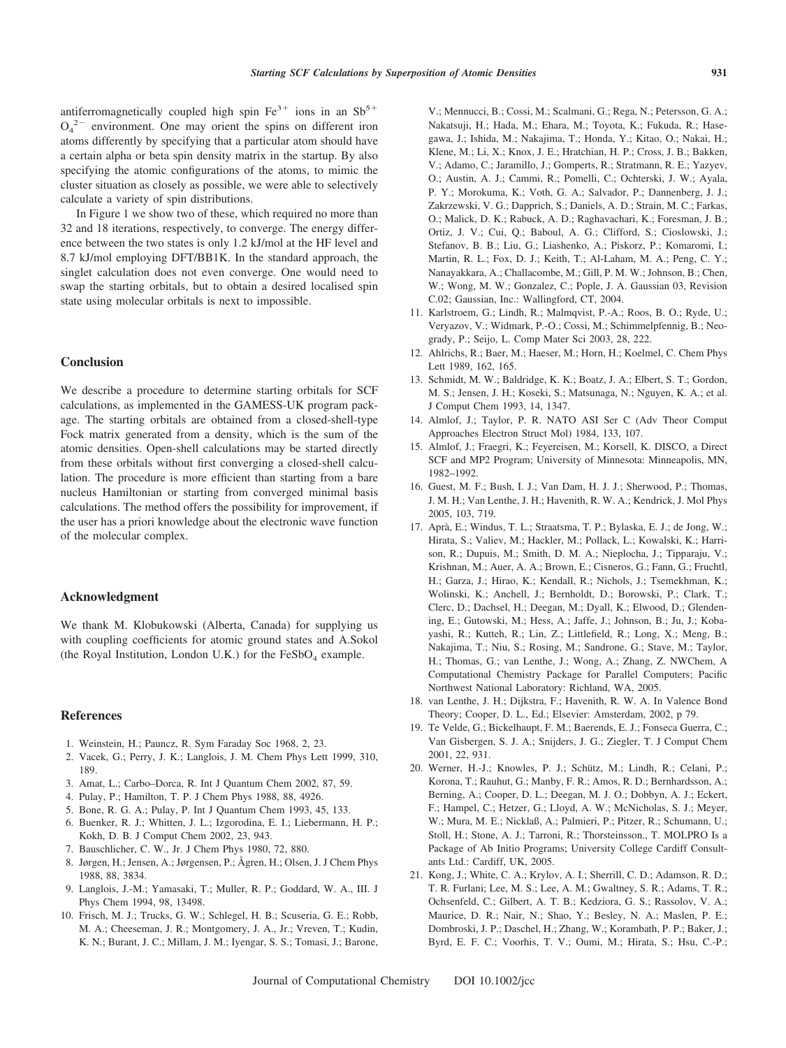antiferromagnetically coupled high spin  $Fe^{3+}$  ions in an  $Sb^{5+}$  $O_4^2$  environment. One may orient the spins on different iron atoms differently by specifying that a particular atom should have a certain alpha or beta spin density matrix in the startup. By also specifying the atomic configurations of the atoms, to mimic the cluster situation as closely as possible, we were able to selectively calculate a variety of spin distributions.

In Figure 1 we show two of these, which required no more than 32 and 18 iterations, respectively, to converge. The energy difference between the two states is only 1.2 kJ/mol at the HF level and 8.7 kJ/mol employing DFT/BB1K. In the standard approach, the singlet calculation does not even converge. One would need to swap the starting orbitals, but to obtain a desired localised spin state using molecular orbitals is next to impossible.

## **Conclusion**

We describe a procedure to determine starting orbitals for SCF calculations, as implemented in the GAMESS-UK program package. The starting orbitals are obtained from a closed-shell-type Fock matrix generated from a density, which is the sum of the atomic densities. Open-shell calculations may be started directly from these orbitals without first converging a closed-shell calculation. The procedure is more efficient than starting from a bare nucleus Hamiltonian or starting from converged minimal basis calculations. The method offers the possibility for improvement, if the user has a priori knowledge about the electronic wave function of the molecular complex.

# **Acknowledgment**

We thank M. Klobukowski (Alberta, Canada) for supplying us with coupling coefficients for atomic ground states and A.Sokol (the Royal Institution, London U.K.) for the  $FeSbO<sub>4</sub>$  example.

#### **References**

- 1. Weinstein, H.; Pauncz, R. Sym Faraday Soc 1968, 2, 23.
- 2. Vacek, G.; Perry, J. K.; Langlois, J. M. Chem Phys Lett 1999, 310, 189.
- 3. Amat, L.; Carbo–Dorca, R. Int J Quantum Chem 2002, 87, 59.
- 4. Pulay, P.; Hamilton, T. P. J Chem Phys 1988, 88, 4926.
- 5. Bone, R. G. A.; Pulay, P. Int J Quantum Chem 1993, 45, 133.
- 6. Buenker, R. J.; Whitten, J. L.; Izgorodina, E. I.; Liebermann, H. P.; Kokh, D. B. J Comput Chem 2002, 23, 943.
- 7. Bauschlicher, C. W., Jr. J Chem Phys 1980, 72, 880.
- 8. Jørgen, H.; Jensen, A.; Jørgensen, P.; Ågren, H.; Olsen, J. J Chem Phys 1988, 88, 3834.
- 9. Langlois, J.-M.; Yamasaki, T.; Muller, R. P.; Goddard, W. A., III. J Phys Chem 1994, 98, 13498.
- 10. Frisch, M. J.; Trucks, G. W.; Schlegel, H. B.; Scuseria, G. E.; Robb, M. A.; Cheeseman, J. R.; Montgomery, J. A., Jr.; Vreven, T.; Kudin, K. N.; Burant, J. C.; Millam, J. M.; Iyengar, S. S.; Tomasi, J.; Barone,

V.; Mennucci, B.; Cossi, M.; Scalmani, G.; Rega, N.; Petersson, G. A.; Nakatsuji, H.; Hada, M.; Ehara, M.; Toyota, K.; Fukuda, R.; Hasegawa, J.; Ishida, M.; Nakajima, T.; Honda, Y.; Kitao, O.; Nakai, H.; Klene, M.; Li, X.; Knox, J. E.; Hratchian, H. P.; Cross, J. B.; Bakken, V.; Adamo, C.; Jaramillo, J.; Gomperts, R.; Stratmann, R. E.; Yazyev, O.; Austin, A. J.; Cammi, R.; Pomelli, C.; Ochterski, J. W.; Ayala, P. Y.; Morokuma, K.; Voth, G. A.; Salvador, P.; Dannenberg, J. J.; Zakrzewski, V. G.; Dapprich, S.; Daniels, A. D.; Strain, M. C.; Farkas, O.; Malick, D. K.; Rabuck, A. D.; Raghavachari, K.; Foresman, J. B.; Ortiz, J. V.; Cui, Q.; Baboul, A. G.; Clifford, S.; Cioslowski, J.; Stefanov, B. B.; Liu, G.; Liashenko, A.; Piskorz, P.; Komaromi, I.; Martin, R. L.; Fox, D. J.; Keith, T.; Al-Laham, M. A.; Peng, C. Y.; Nanayakkara, A.; Challacombe, M.; Gill, P. M. W.; Johnson, B.; Chen, W.; Wong, M. W.; Gonzalez, C.; Pople, J. A. Gaussian 03, Revision C.02; Gaussian, Inc.: Wallingford, CT, 2004.

- 11. Karlstroem, G.; Lindh, R.; Malmqvist, P.-A.; Roos, B. O.; Ryde, U.; Veryazov, V.; Widmark, P.-O.; Cossi, M.; Schimmelpfennig, B.; Neogrady, P.; Seijo, L. Comp Mater Sci 2003, 28, 222.
- 12. Ahlrichs, R.; Baer, M.; Haeser, M.; Horn, H.; Koelmel, C. Chem Phys Lett 1989, 162, 165.
- 13. Schmidt, M. W.; Baldridge, K. K.; Boatz, J. A.; Elbert, S. T.; Gordon, M. S.; Jensen, J. H.; Koseki, S.; Matsunaga, N.; Nguyen, K. A.; et al. J Comput Chem 1993, 14, 1347.
- 14. Almlof, J.; Taylor, P. R. NATO ASI Ser C (Adv Theor Comput Approaches Electron Struct Mol) 1984, 133, 107.
- 15. Almlof, J.; Fraegri, K.; Feyereisen, M.; Korsell, K. DISCO, a Direct SCF and MP2 Program; University of Minnesota: Minneapolis, MN, 1982–1992.
- 16. Guest, M. F.; Bush, I. J.; Van Dam, H. J. J.; Sherwood, P.; Thomas, J. M. H.; Van Lenthe, J. H.; Havenith, R. W. A.; Kendrick, J. Mol Phys 2005, 103, 719.
- 17. Aprà, E.; Windus, T. L.; Straatsma, T. P.; Bylaska, E. J.; de Jong, W.; Hirata, S.; Valiev, M.; Hackler, M.; Pollack, L.; Kowalski, K.; Harrison, R.; Dupuis, M.; Smith, D. M. A.; Nieplocha, J.; Tipparaju, V.; Krishnan, M.; Auer, A. A.; Brown, E.; Cisneros, G.; Fann, G.; Fruchtl, H.; Garza, J.; Hirao, K.; Kendall, R.; Nichols, J.; Tsemekhman, K.; Wolinski, K.; Anchell, J.; Bernholdt, D.; Borowski, P.; Clark, T.; Clerc, D.; Dachsel, H.; Deegan, M.; Dyall, K.; Elwood, D.; Glendening, E.; Gutowski, M.; Hess, A.; Jaffe, J.; Johnson, B.; Ju, J.; Kobayashi, R.; Kutteh, R.; Lin, Z.; Littlefield, R.; Long, X.; Meng, B.; Nakajima, T.; Niu, S.; Rosing, M.; Sandrone, G.; Stave, M.; Taylor, H.; Thomas, G.; van Lenthe, J.; Wong, A.; Zhang, Z. NWChem, A Computational Chemistry Package for Parallel Computers; Pacific Northwest National Laboratory: Richland, WA, 2005.
- 18. van Lenthe, J. H.; Dijkstra, F.; Havenith, R. W. A. In Valence Bond Theory; Cooper, D. L., Ed.; Elsevier: Amsterdam, 2002, p 79.
- 19. Te Velde, G.; Bickelhaupt, F. M.; Baerends, E. J.; Fonseca Guerra, C.; Van Gisbergen, S. J. A.; Snijders, J. G.; Ziegler, T. J Comput Chem 2001, 22, 931.
- 20. Werner, H.-J.; Knowles, P. J.; Schütz, M.; Lindh, R.; Celani, P.; Korona, T.; Rauhut, G.; Manby, F. R.; Amos, R. D.; Bernhardsson, A.; Berning, A.; Cooper, D. L.; Deegan, M. J. O.; Dobbyn, A. J.; Eckert, F.; Hampel, C.; Hetzer, G.; Lloyd, A. W.; McNicholas, S. J.; Meyer, W.; Mura, M. E.; Nicklaß, A.; Palmieri, P.; Pitzer, R.; Schumann, U.; Stoll, H.; Stone, A. J.; Tarroni, R.; Thorsteinsson., T. MOLPRO Is a Package of Ab Initio Programs; University College Cardiff Consultants Ltd.: Cardiff, UK, 2005.
- 21. Kong, J.; White, C. A.; Krylov, A. I.; Sherrill, C. D.; Adamson, R. D.; T. R. Furlani; Lee, M. S.; Lee, A. M.; Gwaltney, S. R.; Adams, T. R.; Ochsenfeld, C.; Gilbert, A. T. B.; Kedziora, G. S.; Rassolov, V. A.; Maurice, D. R.; Nair, N.; Shao, Y.; Besley, N. A.; Maslen, P. E.; Dombroski, J. P.; Daschel, H.; Zhang, W.; Korambath, P. P.; Baker, J.; Byrd, E. F. C.; Voorhis, T. V.; Oumi, M.; Hirata, S.; Hsu, C.-P.;